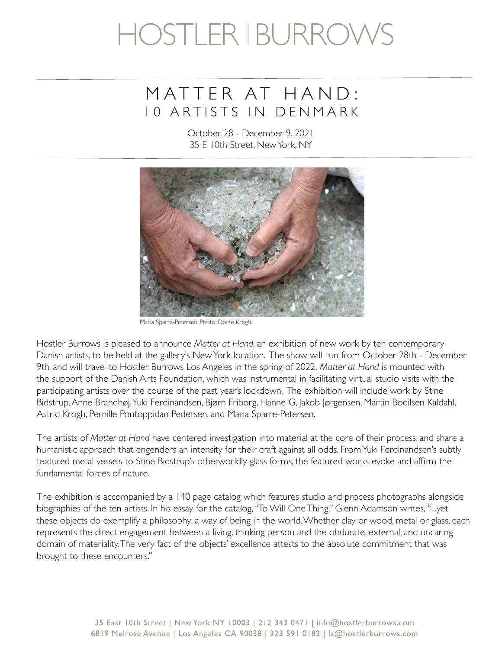# HOSTLER I BURROV

### MATTER AT HAND : 10 ARTISTS IN DENMARK

October 28 - December 9, 2021 35 E 10th Street, New York, NY



Maria Sparre-Petersen. Photo: Dorte Krogh.

Hostler Burrows is pleased to announce *Matter at Hand*, an exhibition of new work by ten contemporary Danish artists, to be held at the gallery's New York location. The show will run from October 28th - December 9th, and will travel to Hostler Burrows Los Angeles in the spring of 2022. *Matter at Hand* is mounted with the support of the Danish Arts Foundation, which was instrumental in facilitating virtual studio visits with the participating artists over the course of the past year's lockdown. The exhibition will include work by Stine Bidstrup, Anne Brandhøj, Yuki Ferdinandsen, Bjørn Friborg, Hanne G, Jakob Jørgensen, Martin Bodilsen Kaldahl, Astrid Krogh, Pernille Pontoppidan Pedersen, and Maria Sparre-Petersen.

The artists of *Matter at Hand* have centered investigation into material at the core of their process, and share a humanistic approach that engenders an intensity for their craft against all odds. From Yuki Ferdinandsen's subtly textured metal vessels to Stine Bidstrup's otherworldly glass forms, the featured works evoke and affrm the fundamental forces of nature.

The exhibition is accompanied by a 140 page catalog which features studio and process photographs alongside biographies of the ten artists. In his essay for the catalog, "To Will One Thing," Glenn Adamson writes, "...yet these objects do exemplify a philosophy: a way of being in the world. Whether clay or wood, metal or glass, each represents the direct engagement between a living, thinking person and the obdurate, external, and uncaring domain of materiality. The very fact of the objects' excellence attests to the absolute commitment that was brought to these encounters."